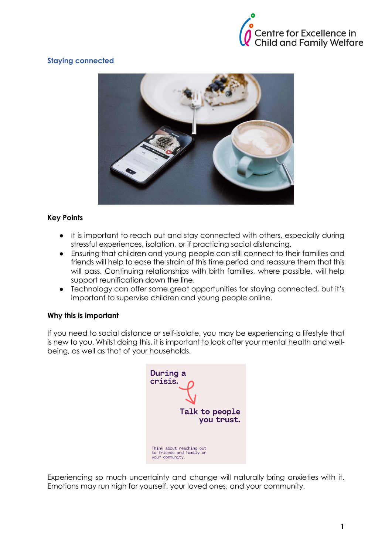

# **Staying connected**



# **Key Points**

- It is important to reach out and stay connected with others, especially during stressful experiences, isolation, or if practicing social distancing.
- Ensuring that children and young people can still connect to their families and friends will help to ease the strain of this time period and reassure them that this will pass. Continuing relationships with birth families, where possible, will help support reunification down the line.
- Technology can offer some great opportunities for staying connected, but it's important to supervise children and young people online.

# **Why this is important**

If you need to social distance or self-isolate, you may be experiencing a lifestyle that is new to you. Whilst doing this, it is important to look after your mental health and wellbeing, as well as that of your households.



Experiencing so much uncertainty and change will naturally bring anxieties with it. Emotions may run high for yourself, your loved ones, and your community.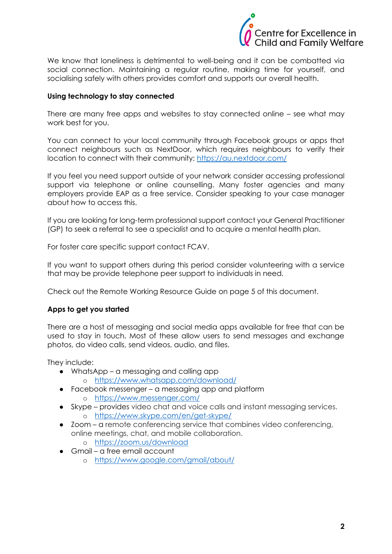

We know that loneliness is detrimental to well-being and it can be combatted via social connection. Maintaining a regular routine, making time for yourself, and socialising safely with others provides comfort and supports our overall health.

## **Using technology to stay connected**

There are many free apps and websites to stay connected online – see what may work best for you.

You can connect to your local community through Facebook groups or apps that connect neighbours such as NextDoor, which requires neighbours to verify their location to connect with their community: <https://au.nextdoor.com/>

If you feel you need support outside of your network consider accessing professional support via telephone or online counselling. Many foster agencies and many employers provide EAP as a free service. Consider speaking to your case manager about how to access this.

If you are looking for long-term professional support contact your General Practitioner (GP) to seek a referral to see a specialist and to acquire a mental health plan.

For foster care specific support contact FCAV.

If you want to support others during this period consider volunteering with a service that may be provide telephone peer support to individuals in need.

Check out the Remote Working Resource Guide on page 5 of this document.

#### **Apps to get you started**

There are a host of messaging and social media apps available for free that can be used to stay in touch. Most of these allow users to send messages and exchange photos, do video calls, send videos, audio, and files.

They include:

- WhatsApp a messaging and calling app
	- o <https://www.whatsapp.com/download/>
- Facebook messenger a messaging app and platform o <https://www.messenger.com/>
- Skype provides video chat and voice calls and instant messaging services. o <https://www.skype.com/en/get-skype/>
- Zoom a remote conferencing service that combines video conferencing, online meetings, chat, and mobile collaboration.
	- o <https://zoom.us/download>
- Gmail a free email account
	- o <https://www.google.com/gmail/about/>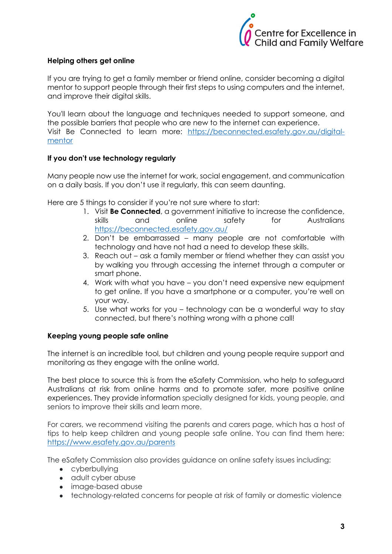

## **Helping others get online**

If you are trying to get a family member or friend online, consider becoming a digital mentor to support people through their first steps to using computers and the internet, and improve their digital skills.

You'll learn about the language and techniques needed to support someone, and the possible barriers that people who are new to the internet can experience. Visit Be Connected to learn more: [https://beconnected.esafety.gov.au/digital](https://beconnected.esafety.gov.au/digital-mentor)[mentor](https://beconnected.esafety.gov.au/digital-mentor)

## **If you don't use technology regularly**

Many people now use the internet for work, social engagement, and communication on a daily basis. If you don't use it regularly, this can seem daunting.

Here are 5 things to consider if you're not sure where to start:

- 1. Visit **Be Connected**, a government initiative to increase the confidence, skills and online safety for Australians <https://beconnected.esafety.gov.au/>
- 2. Don't be embarrassed many people are not comfortable with technology and have not had a need to develop these skills.
- 3. Reach out ask a family member or friend whether they can assist you by walking you through accessing the internet through a computer or smart phone.
- 4. Work with what you have you don't need expensive new equipment to get online. If you have a smartphone or a computer, you're well on your way.
- 5. Use what works for you technology can be a wonderful way to stay connected, but there's nothing wrong with a phone call!

#### **Keeping young people safe online**

The internet is an incredible tool, but children and young people require support and monitoring as they engage with the online world.

The best place to source this is from the eSafety Commission, who help to safeguard Australians at risk from online harms and to promote safer, more positive online experiences. They provide information specially designed for kids, young people, and seniors to improve their skills and learn more.

For carers, we recommend visiting the parents and carers page, which has a host of tips to help keep children and young people safe online. You can find them here: <https://www.esafety.gov.au/parents>

The eSafety Commission also provides guidance on online safety issues including:

- cyberbullying
- adult cyber abuse
- image-based abuse
- technology-related concerns for people at risk of family or domestic violence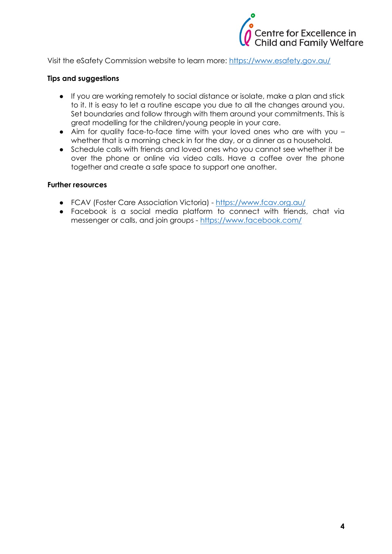

Visit the eSafety Commission website to learn more:<https://www.esafety.gov.au/>

#### **Tips and suggestions**

- If you are working remotely to social distance or isolate, make a plan and stick to it. It is easy to let a routine escape you due to all the changes around you. Set boundaries and follow through with them around your commitments. This is great modelling for the children/young people in your care.
- Aim for quality face-to-face time with your loved ones who are with you whether that is a morning check in for the day, or a dinner as a household.
- Schedule calls with friends and loved ones who you cannot see whether it be over the phone or online via video calls. Have a coffee over the phone together and create a safe space to support one another.

#### **Further resources**

- FCAV (Foster Care Association Victoria) <https://www.fcav.org.au/>
- Facebook is a social media platform to connect with friends, chat via messenger or calls, and join groups - <https://www.facebook.com/>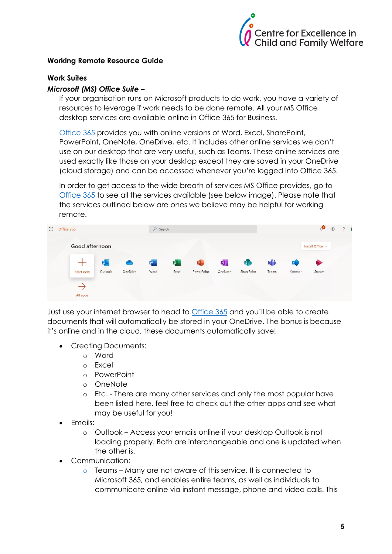

## **Working Remote Resource Guide**

#### **Work Suites**

#### *Microsoft (MS) Office Suite –*

If your organisation runs on Microsoft products to do work, you have a variety of resources to leverage if work needs to be done remote. All your MS Office desktop services are available online in Office 365 for Business.

[Office 365](https://www.office.com/) provides you with online versions of Word, Excel, SharePoint, PowerPoint, OneNote, OneDrive, etc. It includes other online services we don't use on our desktop that are very useful, such as Teams. These online services are used exactly like those on your desktop except they are saved in your OneDrive (cloud storage) and can be accessed whenever you're logged into Office 365.

In order to get access to the wide breath of services MS Office provides, go to [Office 365](https://www.office.com/) to see all the services available (see below image). Please note that the services outlined below are ones we believe may be helpful for working remote.

| $\dddot{}$ | Office 365            |                  |         |           | $O$ Search |                |              |                           |                      | ு<br>$\frac{253}{252}$ |                  |        | $\gamma$ |  |
|------------|-----------------------|------------------|---------|-----------|------------|----------------|--------------|---------------------------|----------------------|------------------------|------------------|--------|----------|--|
|            | <b>Good afternoon</b> |                  |         |           |            |                |              |                           |                      |                        | Install Office V |        |          |  |
|            |                       |                  | 0       | $\bullet$ | W          | $\mathbf{x}$ . | $\mathbf{P}$ | $\overline{\mathbf{N}}$ . | <b>S<sub>D</sub></b> | 喻                      | Y                | ▶      |          |  |
|            |                       | <b>Start new</b> | Outlook | OneDrive  | Word       | Excel          | PowerPoint   | OneNote                   | SharePoint           | Teams                  | Yammer           | Stream |          |  |
|            |                       | All apps         |         |           |            |                |              |                           |                      |                        |                  |        |          |  |

Just use your internet browser to head to [Office 365](https://www.office.com/?auth=2) and you'll be able to create documents that will automatically be stored in your OneDrive. The bonus is because it's online and in the cloud, these documents automatically save!

- Creating Documents:
	- o Word
	- o Excel
	- o PowerPoint
	- o OneNote
	- o Etc. There are many other services and only the most popular have been listed here, feel free to check out the other apps and see what may be useful for you!
- Emails:
	- o Outlook Access your emails online if your desktop Outlook is not loading properly. Both are interchangeable and one is updated when the other is.
- Communication:
	- o Teams Many are not aware of this service. It is connected to Microsoft 365, and enables entire teams, as well as individuals to communicate online via instant message, phone and video calls. This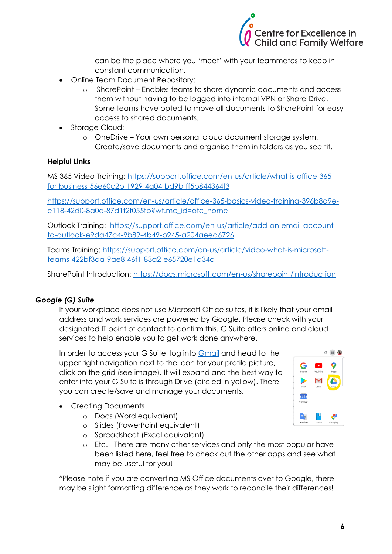

can be the place where you 'meet' with your teammates to keep in constant communication.

- Online Team Document Repository:
	- o SharePoint Enables teams to share dynamic documents and access them without having to be logged into internal VPN or Share Drive. Some teams have opted to move all documents to SharePoint for easy access to shared documents.
- Storage Cloud:
	- o OneDrive Your own personal cloud document storage system. Create/save documents and organise them in folders as you see fit.

# **Helpful Links**

MS 365 Video Training: [https://support.office.com/en-us/article/what-is-office-365](https://support.office.com/en-us/article/what-is-office-365-for-business-56e60c2b-1929-4a04-bd9b-ff5b844364f3) [for-business-56e60c2b-1929-4a04-bd9b-ff5b844364f3](https://support.office.com/en-us/article/what-is-office-365-for-business-56e60c2b-1929-4a04-bd9b-ff5b844364f3)

[https://support.office.com/en-us/article/office-365-basics-video-training-396b8d9e](https://support.office.com/en-us/article/office-365-basics-video-training-396b8d9e-e118-42d0-8a0d-87d1f2f055fb?wt.mc_id=otc_home)[e118-42d0-8a0d-87d1f2f055fb?wt.mc\\_id=otc\\_home](https://support.office.com/en-us/article/office-365-basics-video-training-396b8d9e-e118-42d0-8a0d-87d1f2f055fb?wt.mc_id=otc_home)

Outlook Training: [https://support.office.com/en-us/article/add-an-email-account](https://support.office.com/en-us/article/add-an-email-account-to-outlook-e9da47c4-9b89-4b49-b945-a204aeea6726)[to-outlook-e9da47c4-9b89-4b49-b945-a204aeea6726](https://support.office.com/en-us/article/add-an-email-account-to-outlook-e9da47c4-9b89-4b49-b945-a204aeea6726)

Teams Training: [https://support.office.com/en-us/article/video-what-is-microsoft](https://support.office.com/en-us/article/video-what-is-microsoft-teams-422bf3aa-9ae8-46f1-83a2-e65720e1a34d)[teams-422bf3aa-9ae8-46f1-83a2-e65720e1a34d](https://support.office.com/en-us/article/video-what-is-microsoft-teams-422bf3aa-9ae8-46f1-83a2-e65720e1a34d)

SharePoint Introduction:<https://docs.microsoft.com/en-us/sharepoint/introduction>

# *Google (G) Suite*

If your workplace does not use Microsoft Office suites, it is likely that your email address and work services are powered by Google. Please check with your designated IT point of contact to confirm this. G Suite offers online and cloud services to help enable you to get work done anywhere.

In order to access your G Suite, log into [Gmail](https://www.google.com/gmail/) and head to the upper right navigation next to the icon for your profile picture, click on the grid (see image). It will expand and the best way to enter into your G Suite is through Drive (circled in yellow). There you can create/save and manage your documents.

- Creating Documents
	- o Docs (Word equivalent)
	- o Slides (PowerPoint equivalent)
	- o Spreadsheet (Excel equivalent)
	- o Etc. There are many other services and only the most popular have been listed here, feel free to check out the other apps and see what may be useful for you!

\*Please note if you are converting MS Office documents over to Google, there may be slight formatting difference as they work to reconcile their differences!

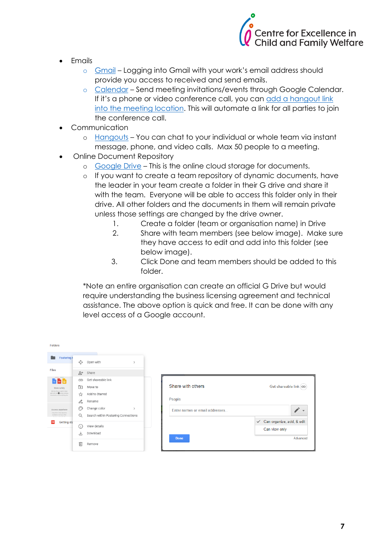

- **Emails** 
	- o [Gmail](https://www.google.com/gmail/) Logging into Gmail with your work's email address should provide you access to received and send emails.
	- o [Calendar](https://www.google.com/calendar) Send meeting invitations/events through Google Calendar. If it's a phone or video conference call, you can [add a hangout link](https://support.google.com/a/users/answer/9300131?hl=en)  [into the meeting location.](https://support.google.com/a/users/answer/9300131?hl=en) This will automate a link for all parties to join the conference call.
- Communication
	- o [Hangouts](https://hangouts.google.com/) You can chat to your individual or whole team via instant message, phone, and video calls. Max 50 people to a meeting.
- Online Document Repository
	- o [Google Drive](https://drive.google.com/drive/u/0/my-drive) This is the online cloud storage for documents.
	- o If you want to create a team repository of dynamic documents, have the leader in your team create a folder in their G drive and share it with the team. Everyone will be able to access this folder only in their drive. All other folders and the documents in them will remain private unless those settings are changed by the drive owner.
		- 1. Create a folder (team or organisation name) in Drive
		- 2. Share with team members (see below image). Make sure they have access to edit and add into this folder (see below image).
		- 3. Click Done and team members should be added to this folder.

\*Note an entire organisation can create an official G Drive but would require understanding the business licensing agreement and technical assistance. The above option is quick and free. It can be done with any level access of a Google account.

| <b>Folders</b>                                                                                     |                             |                                     |               |                                |                                |
|----------------------------------------------------------------------------------------------------|-----------------------------|-------------------------------------|---------------|--------------------------------|--------------------------------|
| Fostering (                                                                                        | ↔                           | Open with                           | $\rightarrow$ |                                |                                |
| <b>Files</b>                                                                                       | ೆ'                          | Share                               |               |                                |                                |
| M D D                                                                                              | GD                          | Get shareable link                  |               |                                |                                |
| Store safely                                                                                       | ভি                          | Move to                             |               | Share with others              | Get shareable link (cD)        |
| Add any file you want to keep<br>sale with the @ button photos.<br>documents, and everything else. | ☆                           | Add to Starred                      |               |                                |                                |
|                                                                                                    | $\mathscr{O}_{\mathscr{A}}$ | Rename                              |               | People                         |                                |
| Access anywhere                                                                                    | ಾ                           | Change color                        | $\rightarrow$ | Enter names or email addresses |                                |
| (vey fie is Dire becomes<br>available on all your other                                            | Q                           | Search within Fostering Connections |               |                                |                                |
| <b>Getting sta</b><br>POF                                                                          | ⋒                           | View details                        |               |                                | Can organize, add, & edit<br>✓ |
|                                                                                                    |                             | Download                            |               |                                | Can view only                  |
|                                                                                                    | J,                          |                                     |               | <b>Done</b>                    | Advanced                       |
|                                                                                                    | 而                           | Remove                              |               |                                |                                |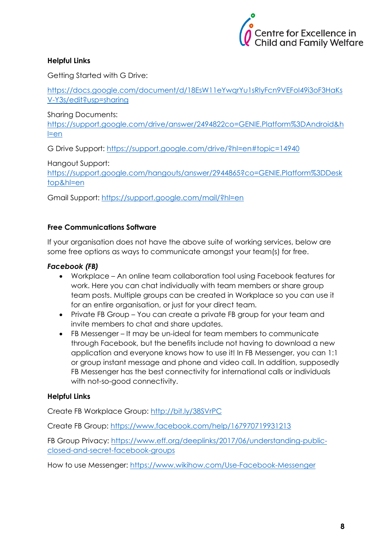

# **Helpful Links**

Getting Started with G Drive:

[https://docs.google.com/document/d/18EsW11eYwqrYu1sRlyFcn9VEFoI49i3oF3HaKs](https://docs.google.com/document/d/18EsW11eYwqrYu1sRlyFcn9VEFoI49i3oF3HaKsV-Y3s/edit?usp=sharing) [V-Y3s/edit?usp=sharing](https://docs.google.com/document/d/18EsW11eYwqrYu1sRlyFcn9VEFoI49i3oF3HaKsV-Y3s/edit?usp=sharing)

Sharing Documents:

https://support.google.com/drive/answer/2494822co=GENIE.Platform%3DAndroid&h l=en

G Drive Support:<https://support.google.com/drive/?hl=en#topic=14940>

Hangout Support:

[https://support.google.com/hangouts/answer/2944865?co=GENIE.Platform%3DDesk](https://support.google.com/hangouts/answer/2944865?co=GENIE.Platform%3DDesktop&hl=en) [top&hl=en](https://support.google.com/hangouts/answer/2944865?co=GENIE.Platform%3DDesktop&hl=en)

Gmail Support:<https://support.google.com/mail/?hl=en>

# **Free Communications Software**

If your organisation does not have the above suite of working services, below are some free options as ways to communicate amongst your team(s) for free.

## *Facebook (FB)*

- Workplace An online team collaboration tool using Facebook features for work. Here you can chat individually with team members or share group team posts. Multiple groups can be created in Workplace so you can use it for an entire organisation, or just for your direct team.
- Private FB Group You can create a private FB group for your team and invite members to chat and share updates.
- FB Messenger It may be un-ideal for team members to communicate through Facebook, but the benefits include not having to download a new application and everyone knows how to use it! In FB Messenger, you can 1:1 or group instant message and phone and video call. In addition, supposedly FB Messenger has the best connectivity for international calls or individuals with not-so-good connectivity.

# **Helpful Links**

Create FB Workplace Group:<http://bit.ly/38SVrPC>

Create FB Group:<https://www.facebook.com/help/167970719931213>

FB Group Privacy: [https://www.eff.org/deeplinks/2017/06/understanding-public](https://www.eff.org/deeplinks/2017/06/understanding-public-closed-and-secret-facebook-groups)[closed-and-secret-facebook-groups](https://www.eff.org/deeplinks/2017/06/understanding-public-closed-and-secret-facebook-groups)

How to use Messenger:<https://www.wikihow.com/Use-Facebook-Messenger>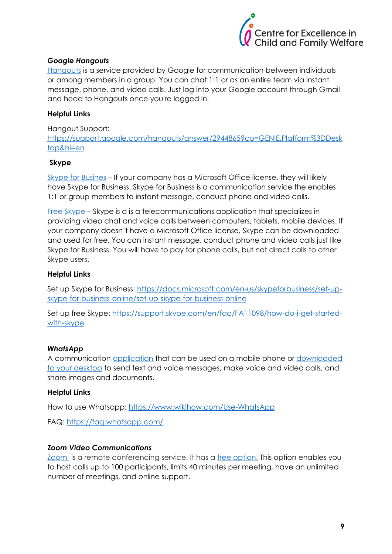

## *Google Hangouts*

[Hangouts](https://hangouts.google.com/) is a service provided by Google for communication between individuals or among members in a group. You can chat 1:1 or as an entire team via instant message, phone, and video calls. Just log into your Google account through Gmail and head to Hangouts once you're logged in.

## **Helpful Links**

Hangout Support: [https://support.google.com/hangouts/answer/2944865?co=GENIE.Platform%3DDesk](https://support.google.com/hangouts/answer/2944865?co=GENIE.Platform%3DDesktop&hl=en) [top&hl=en](https://support.google.com/hangouts/answer/2944865?co=GENIE.Platform%3DDesktop&hl=en)

## **Skype**

[Skype for Busines](https://login.live.com/login.srf?wa=wsignin1.0&rpsnv=13&ct=1584408086&rver=7.1.6819.0&wp=MBI_SSL&wreply=https%3A%2F%2Flw.skype.com%2Flogin%2Foauth%2Fproxy%3Fclient_id%3D572381%26redirect_uri%3Dhttps%253A%252F%252Fweb.skype.com%252FAuth%252FPostHandler%26state%3D593ebcc5-95f3-43a3-8708-af54a8300796%26site_name%3Dlw.skype.com&lc=1033&id=293290&mkt=en-US&psi=skype&lw=1&cobrandid=2befc4b5-19e3-46e8-8347-77317a16a5a5&client_flight=ReservedFlight33%2CReservedFlight67) – If your company has a Microsoft Office license, they will likely have Skype for Business. Skype for Business is a communication service the enables 1:1 or group members to instant message, conduct phone and video calls.

[Free Skype](https://www.skype.com/en/) – Skype is a is a telecommunications application that specializes in providing video chat and voice calls between computers, tablets, mobile devices. If your company doesn't have a Microsoft Office license, Skype can be downloaded and used for free. You can instant message, conduct phone and video calls just like Skype for Business. You will have to pay for phone calls, but not direct calls to other Skype users.

## **Helpful Links**

Set up Skype for Business: [https://docs.microsoft.com/en-us/skypeforbusiness/set-up](https://docs.microsoft.com/en-us/skypeforbusiness/set-up-skype-for-business-online/set-up-skype-for-business-online)[skype-for-business-online/set-up-skype-for-business-online](https://docs.microsoft.com/en-us/skypeforbusiness/set-up-skype-for-business-online/set-up-skype-for-business-online)

Set up free Skype: [https://support.skype.com/en/faq/FA11098/how-do-i-get-started](https://support.skype.com/en/faq/FA11098/how-do-i-get-started-with-skype)[with-skype](https://support.skype.com/en/faq/FA11098/how-do-i-get-started-with-skype)

#### *WhatsApp*

A communication [application](https://www.whatsapp.com/download) that can be used on a mobile phone or [downloaded](https://web.whatsapp.com/)  [to your desktop](https://web.whatsapp.com/) to send text and voice messages, make voice and video calls, and share images and documents.

#### **Helpful Links**

How to use Whatsapp:<https://www.wikihow.com/Use-WhatsApp>

FAQ: <https://faq.whatsapp.com/>

## *Zoom Video Communications*

[Zoom](https://zoom.us/) is a remote conferencing service. It has a [free option.](https://zoom.us/signup) This option enables you to host calls up to 100 participants, limits 40 minutes per meeting, have an unlimited number of meetings, and online support.